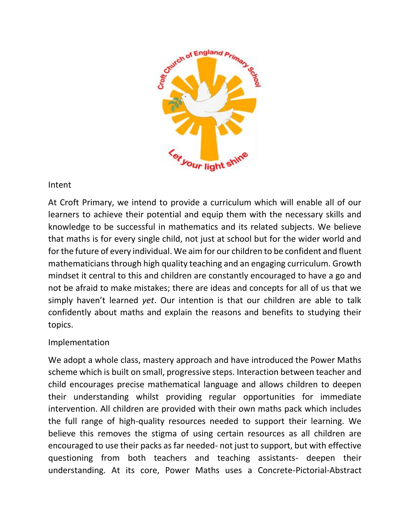

Intent

At Croft Primary, we intend to provide a curriculum which will enable all of our learners to achieve their potential and equip them with the necessary skills and knowledge to be successful in mathematics and its related subjects. We believe that maths is for every single child, not just at school but for the wider world and for the future of every individual. We aim for our children to be confident and fluent mathematicians through high quality teaching and an engaging curriculum. Growth mindset it central to this and children are constantly encouraged to have a go and not be afraid to make mistakes; there are ideas and concepts for all of us that we simply haven't learned *yet*. Our intention is that our children are able to talk confidently about maths and explain the reasons and benefits to studying their topics.

## Implementation

We adopt a whole class, mastery approach and have introduced the Power Maths scheme which is built on small, progressive steps. Interaction between teacher and child encourages precise mathematical language and allows children to deepen their understanding whilst providing regular opportunities for immediate intervention. All children are provided with their own maths pack which includes the full range of high-quality resources needed to support their learning. We believe this removes the stigma of using certain resources as all children are encouraged to use their packs as far needed- not just to support, but with effective questioning from both teachers and teaching assistants- deepen their understanding. At its core, Power Maths uses a Concrete-Pictorial-Abstract